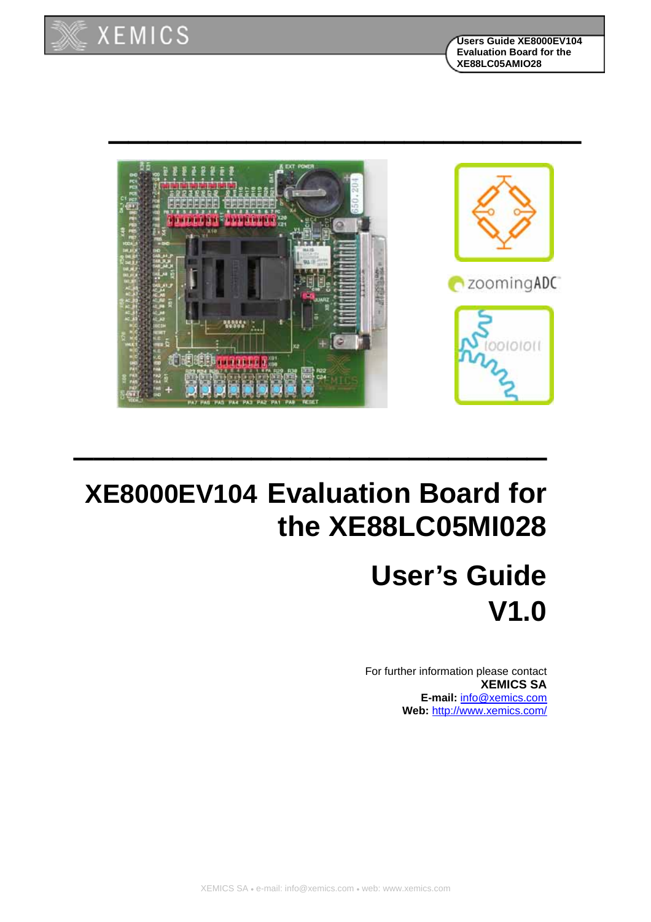



# **XE8000EV104 Evaluation Board for the XE88LC05MI028**

 $\mathcal{L}_\text{max}$  and  $\mathcal{L}_\text{max}$  are the set of  $\mathcal{L}_\text{max}$  and  $\mathcal{L}_\text{max}$  and  $\mathcal{L}_\text{max}$ 

# **User's Guide V1.0**

For further information please contact **XEMICS SA E-mail:** info@xemics.com **Web:** http://www.xemics.com/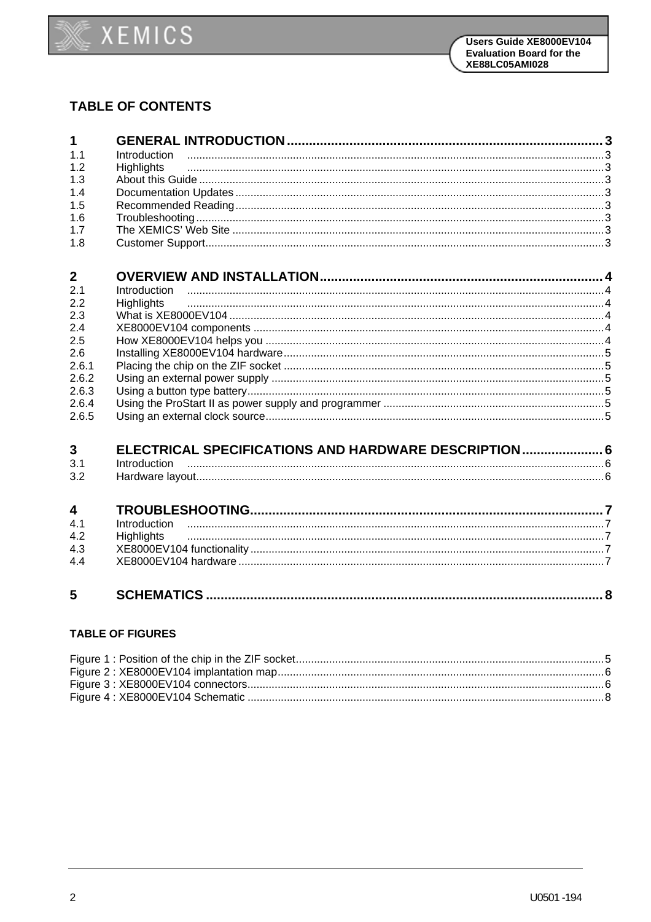

### **TABLE OF CONTENTS**

| 1<br>1.1<br>1.2<br>1.3<br>1.4<br>1.5                                                                  | Introduction<br>Highlights                                           |  |
|-------------------------------------------------------------------------------------------------------|----------------------------------------------------------------------|--|
| 1.6<br>1.7                                                                                            |                                                                      |  |
| 1.8                                                                                                   |                                                                      |  |
| $\overline{2}$<br>2.1<br>2.2<br>2.3<br>2.4<br>2.5<br>2.6<br>2.6.1<br>2.6.2<br>2.6.3<br>2.6.4<br>2.6.5 | Introduction<br>Highlights                                           |  |
| 3<br>3.1<br>3.2                                                                                       | ELECTRICAL SPECIFICATIONS AND HARDWARE DESCRIPTION 6<br>Introduction |  |
| 4<br>4.1<br>4.2<br>4.3<br>4.4                                                                         | Introduction<br>Highlights                                           |  |
| 5                                                                                                     |                                                                      |  |

#### **TABLE OF FIGURES**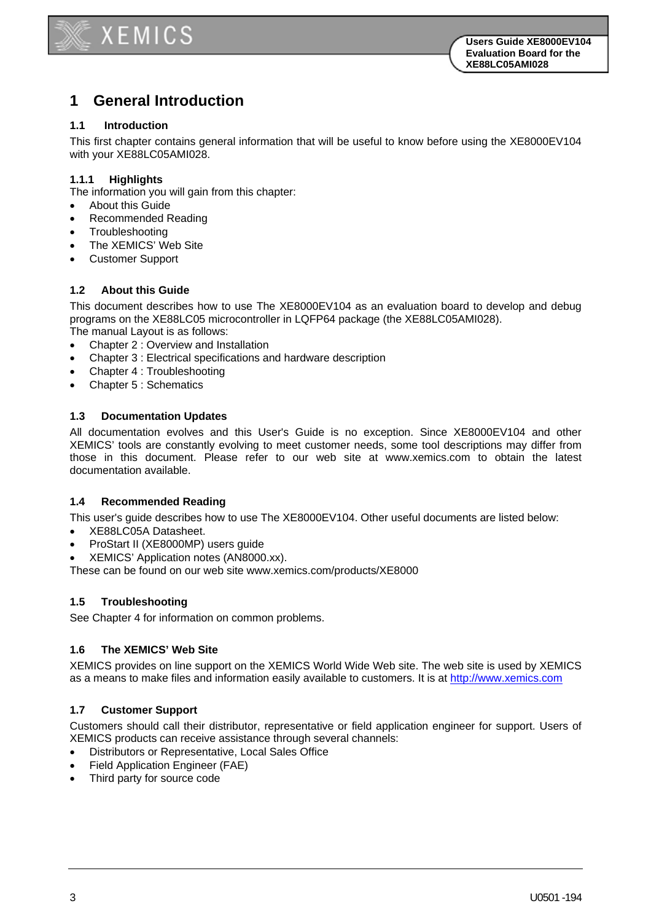

### **1 General Introduction**

**XEMICS** 

#### **1.1 Introduction**

This first chapter contains general information that will be useful to know before using the XE8000EV104 with your XE88LC05AMI028.

#### **1.1.1 Highlights**

The information you will gain from this chapter:

- About this Guide
- Recommended Reading
- Troubleshooting
- The XEMICS' Web Site
- Customer Support

#### **1.2 About this Guide**

This document describes how to use The XE8000EV104 as an evaluation board to develop and debug programs on the XE88LC05 microcontroller in LQFP64 package (the XE88LC05AMI028). The manual Layout is as follows:

- Chapter 2 : Overview and Installation
- Chapter 3 : Electrical specifications and hardware description
- Chapter 4 : Troubleshooting
- Chapter 5 : Schematics

#### **1.3 Documentation Updates**

All documentation evolves and this User's Guide is no exception. Since XE8000EV104 and other XEMICS' tools are constantly evolving to meet customer needs, some tool descriptions may differ from those in this document. Please refer to our web site at www.xemics.com to obtain the latest documentation available.

#### **1.4 Recommended Reading**

This user's guide describes how to use The XE8000EV104. Other useful documents are listed below:

- XE88LC05A Datasheet.
- ProStart II (XE8000MP) users guide
- XEMICS' Application notes (AN8000.xx).

These can be found on our web site www.xemics.com/products/XE8000

#### **1.5 Troubleshooting**

See Chapter 4 for information on common problems.

#### **1.6 The XEMICS' Web Site**

XEMICS provides on line support on the XEMICS World Wide Web site. The web site is used by XEMICS as a means to make files and information easily available to customers. It is at http://www.xemics.com

#### **1.7 Customer Support**

Customers should call their distributor, representative or field application engineer for support. Users of XEMICS products can receive assistance through several channels:

- Distributors or Representative, Local Sales Office
- Field Application Engineer (FAE)
- Third party for source code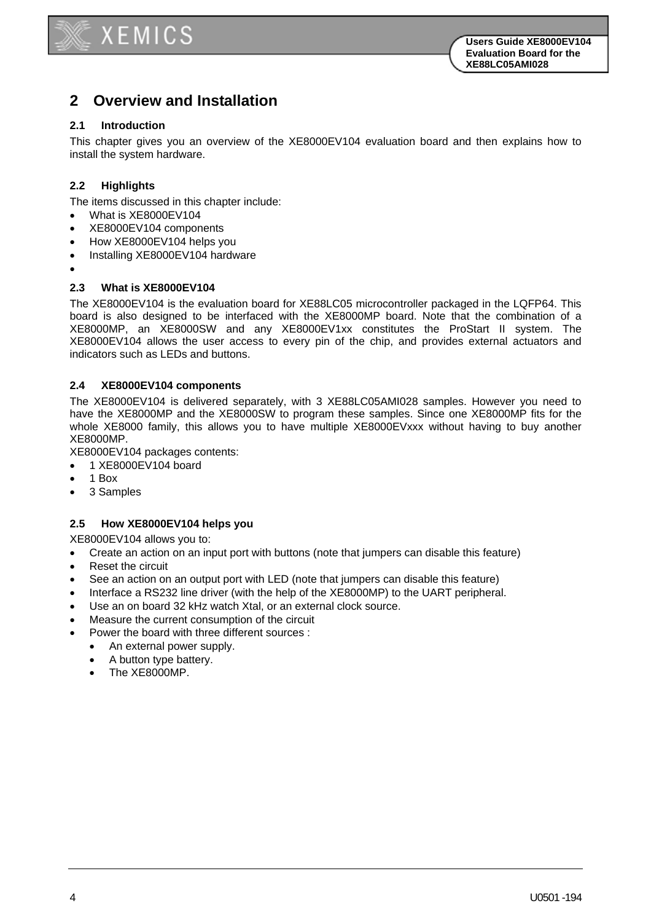

## **2 Overview and Installation**

#### **2.1 Introduction**

This chapter gives you an overview of the XE8000EV104 evaluation board and then explains how to install the system hardware.

#### **2.2 Highlights**

The items discussed in this chapter include:

- What is XE8000EV104
- XE8000EV104 components
- How XE8000EV104 helps you
- Installing XE8000EV104 hardware
- •

#### **2.3 What is XE8000EV104**

The XE8000EV104 is the evaluation board for XE88LC05 microcontroller packaged in the LQFP64. This board is also designed to be interfaced with the XE8000MP board. Note that the combination of a XE8000MP, an XE8000SW and any XE8000EV1xx constitutes the ProStart II system. The XE8000EV104 allows the user access to every pin of the chip, and provides external actuators and indicators such as LEDs and buttons.

#### **2.4 XE8000EV104 components**

The XE8000EV104 is delivered separately, with 3 XE88LC05AMI028 samples. However you need to have the XE8000MP and the XE8000SW to program these samples. Since one XE8000MP fits for the whole XE8000 family, this allows you to have multiple XE8000EVxxx without having to buy another XE8000MP.

XE8000EV104 packages contents:

- 1 XE8000EV104 board
- 1 Box
- 3 Samples

#### **2.5 How XE8000EV104 helps you**

XE8000EV104 allows you to:

- Create an action on an input port with buttons (note that jumpers can disable this feature)
- Reset the circuit
- See an action on an output port with LED (note that jumpers can disable this feature)
- Interface a RS232 line driver (with the help of the XE8000MP) to the UART peripheral.
- Use an on board 32 kHz watch Xtal, or an external clock source.
- Measure the current consumption of the circuit
- Power the board with three different sources :
	- An external power supply.
	- A button type battery.
	- The XE8000MP.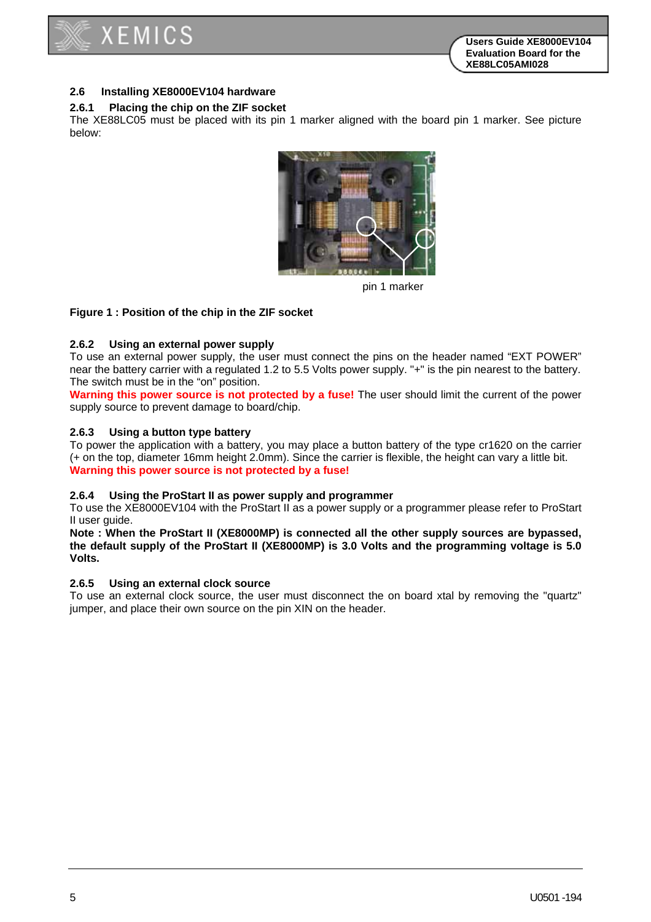

#### **2.6 Installing XE8000EV104 hardware**

#### **2.6.1 Placing the chip on the ZIF socket**

The XE88LC05 must be placed with its pin 1 marker aligned with the board pin 1 marker. See picture below:



pin 1 marker

#### **Figure 1 : Position of the chip in the ZIF socket**

#### **2.6.2 Using an external power supply**

To use an external power supply, the user must connect the pins on the header named "EXT POWER" near the battery carrier with a regulated 1.2 to 5.5 Volts power supply. "+" is the pin nearest to the battery. The switch must be in the "on" position.

**Warning this power source is not protected by a fuse!** The user should limit the current of the power supply source to prevent damage to board/chip.

#### **2.6.3 Using a button type battery**

To power the application with a battery, you may place a button battery of the type cr1620 on the carrier (+ on the top, diameter 16mm height 2.0mm). Since the carrier is flexible, the height can vary a little bit. **Warning this power source is not protected by a fuse!** 

#### **2.6.4 Using the ProStart II as power supply and programmer**

To use the XE8000EV104 with the ProStart II as a power supply or a programmer please refer to ProStart II user guide.

**Note : When the ProStart II (XE8000MP) is connected all the other supply sources are bypassed, the default supply of the ProStart II (XE8000MP) is 3.0 Volts and the programming voltage is 5.0 Volts.** 

#### **2.6.5 Using an external clock source**

To use an external clock source, the user must disconnect the on board xtal by removing the "quartz" jumper, and place their own source on the pin XIN on the header.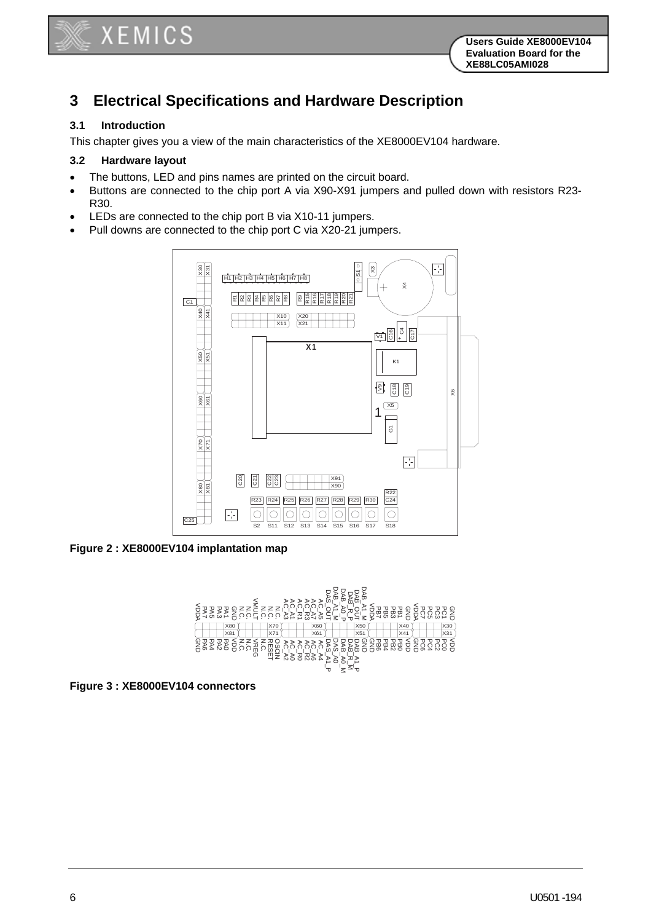# **3 Electrical Specifications and Hardware Description**

#### **3.1 Introduction**

This chapter gives you a view of the main characteristics of the XE8000EV104 hardware.

#### **3.2 Hardware layout**

- The buttons, LED and pins names are printed on the circuit board.
- Buttons are connected to the chip port A via X90-X91 jumpers and pulled down with resistors R23- R30.
- LEDs are connected to the chip port B via X10-11 jumpers.
- Pull downs are connected to the chip port C via X20-21 jumpers.



**Figure 2 : XE8000EV104 implantation map** 



**Figure 3 : XE8000EV104 connectors**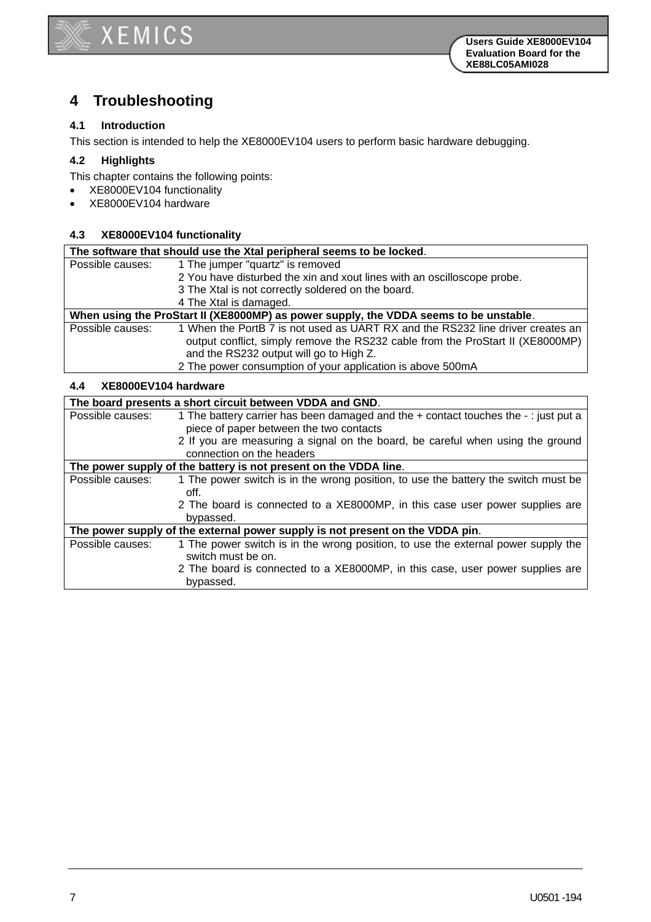# **4 Troubleshooting**

**XEMICS** 

#### **4.1 Introduction**

This section is intended to help the XE8000EV104 users to perform basic hardware debugging.

#### **4.2 Highlights**

This chapter contains the following points:

- XE8000EV104 functionality
- XE8000EV104 hardware

#### **4.3 XE8000EV104 functionality**

| The software that should use the Xtal peripheral seems to be locked.                  |                                                                                |  |  |
|---------------------------------------------------------------------------------------|--------------------------------------------------------------------------------|--|--|
| Possible causes:                                                                      | 1 The jumper "quartz" is removed                                               |  |  |
|                                                                                       | 2 You have disturbed the xin and xout lines with an oscilloscope probe.        |  |  |
|                                                                                       | 3 The Xtal is not correctly soldered on the board.                             |  |  |
|                                                                                       | 4 The Xtal is damaged.                                                         |  |  |
| When using the ProStart II (XE8000MP) as power supply, the VDDA seems to be unstable. |                                                                                |  |  |
| Possible causes:                                                                      | 1 When the PortB 7 is not used as UART RX and the RS232 line driver creates an |  |  |
|                                                                                       | output conflict, simply remove the RS232 cable from the ProStart II (XE8000MP) |  |  |
|                                                                                       | and the RS232 output will go to High Z.                                        |  |  |
|                                                                                       | 2 The power consumption of your application is above 500mA                     |  |  |
| VEONNAEVIANA Lavaluava<br>$\overline{A}$                                              |                                                                                |  |  |

#### **4.4 XE8000EV104 hardware**

| The board presents a short circuit between VDDA and GND.                      |                                                                                    |  |  |  |
|-------------------------------------------------------------------------------|------------------------------------------------------------------------------------|--|--|--|
| Possible causes:                                                              | 1 The battery carrier has been damaged and the + contact touches the -: just put a |  |  |  |
|                                                                               | piece of paper between the two contacts                                            |  |  |  |
|                                                                               | 2 If you are measuring a signal on the board, be careful when using the ground     |  |  |  |
|                                                                               | connection on the headers                                                          |  |  |  |
| The power supply of the battery is not present on the VDDA line.              |                                                                                    |  |  |  |
| Possible causes:                                                              | 1 The power switch is in the wrong position, to use the battery the switch must be |  |  |  |
|                                                                               | off.                                                                               |  |  |  |
|                                                                               | 2 The board is connected to a XE8000MP, in this case user power supplies are       |  |  |  |
|                                                                               | bypassed.                                                                          |  |  |  |
| The power supply of the external power supply is not present on the VDDA pin. |                                                                                    |  |  |  |
| Possible causes:                                                              | 1 The power switch is in the wrong position, to use the external power supply the  |  |  |  |
|                                                                               | switch must be on.                                                                 |  |  |  |
|                                                                               | 2 The board is connected to a XE8000MP, in this case, user power supplies are      |  |  |  |
|                                                                               | bypassed.                                                                          |  |  |  |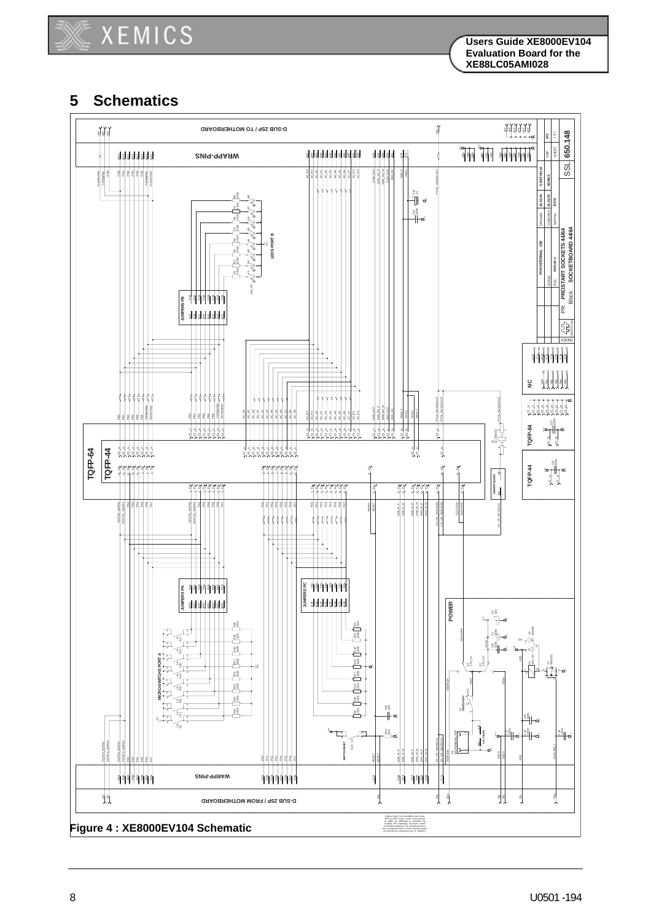

## **5 Schematics**